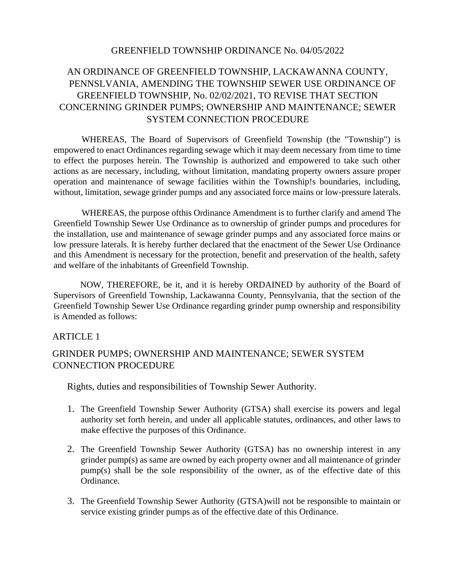#### GREENFIELD TOWNSHIP ORDINANCE No. 04/05/2022

# AN ORDINANCE OF GREENFIELD TOWNSHIP, LACKAWANNA COUNTY, PENNSLVANIA, AMENDING THE TOWNSHIP SEWER USE ORDINANCE OF GREENFIELD TOWNSHIP, No. 02/02/2021, TO REVISE THAT SECTION CONCERNING GRINDER PUMPS; OWNERSHIP AND MAINTENANCE; SEWER SYSTEM CONNECTION PROCEDURE

WHEREAS, The Board of Supervisors of Greenfield Township (the "Township") is empowered to enact Ordinances regarding sewage which it may deem necessary from time to time to effect the purposes herein. The Township is authorized and empowered to take such other actions as are necessary, including, without limitation, mandating property owners assure proper operation and maintenance of sewage facilities within the Township!s boundaries, including, without, limitation, sewage grinder pumps and any associated force mains or low-pressure laterals.

WHEREAS, the purpose ofthis Ordinance Amendment is to further clarify and amend The Greenfield Township Sewer Use Ordinance as to ownership of grinder pumps and procedures for the installation, use and maintenance of sewage grinder pumps and any associated force mains or low pressure laterals. It is hereby further declared that the enactment of the Sewer Use Ordinance and this Amendment is necessary for the protection, benefit and preservation of the health, safety and welfare of the inhabitants of Greenfield Township.

NOW, THEREFORE, be it, and it is hereby ORDAINED by authority of the Board of Supervisors of Greenfield Township, Lackawanna County, Pennsylvania, that the section of the Greenfield Township Sewer Use Ordinance regarding grinder pump ownership and responsibility is Amended as follows:

#### ARTICLE 1

## GRINDER PUMPS; OWNERSHIP AND MAINTENANCE; SEWER SYSTEM CONNECTION PROCEDURE

Rights, duties and responsibilities of Township Sewer Authority.

- 1. The Greenfield Township Sewer Authority (GTSA) shall exercise its powers and legal authority set forth herein, and under all applicable statutes, ordinances, and other laws to make effective the purposes of this Ordinance.
- 2. The Greenfield Township Sewer Authority (GTSA) has no ownership interest in any grinder pump(s) as same are owned by each property owner and all maintenance of grinder pump(s) shall be the sole responsibility of the owner, as of the effective date of this Ordinance.
- 3. The Greenfield Township Sewer Authority (GTSA)will not be responsible to maintain or service existing grinder pumps as of the effective date of this Ordinance.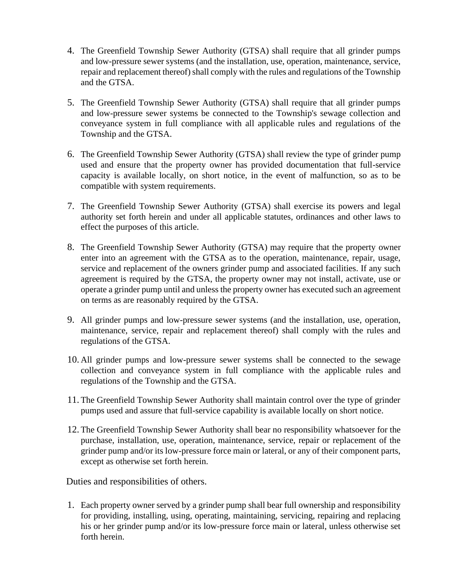- 4. The Greenfield Township Sewer Authority (GTSA) shall require that all grinder pumps and low-pressure sewer systems (and the installation, use, operation, maintenance, service, repair and replacement thereof) shall comply with the rules and regulations of the Township and the GTSA.
- 5. The Greenfield Township Sewer Authority (GTSA) shall require that all grinder pumps and low-pressure sewer systems be connected to the Township's sewage collection and conveyance system in full compliance with all applicable rules and regulations of the Township and the GTSA.
- 6. The Greenfield Township Sewer Authority (GTSA) shall review the type of grinder pump used and ensure that the property owner has provided documentation that full-service capacity is available locally, on short notice, in the event of malfunction, so as to be compatible with system requirements.
- 7. The Greenfield Township Sewer Authority (GTSA) shall exercise its powers and legal authority set forth herein and under all applicable statutes, ordinances and other laws to effect the purposes of this article.
- 8. The Greenfield Township Sewer Authority (GTSA) may require that the property owner enter into an agreement with the GTSA as to the operation, maintenance, repair, usage, service and replacement of the owners grinder pump and associated facilities. If any such agreement is required by the GTSA, the property owner may not install, activate, use or operate a grinder pump until and unless the property owner has executed such an agreement on terms as are reasonably required by the GTSA.
- 9. All grinder pumps and low-pressure sewer systems (and the installation, use, operation, maintenance, service, repair and replacement thereof) shall comply with the rules and regulations of the GTSA.
- 10. All grinder pumps and low-pressure sewer systems shall be connected to the sewage collection and conveyance system in full compliance with the applicable rules and regulations of the Township and the GTSA.
- 11. The Greenfield Township Sewer Authority shall maintain control over the type of grinder pumps used and assure that full-service capability is available locally on short notice.
- 12. The Greenfield Township Sewer Authority shall bear no responsibility whatsoever for the purchase, installation, use, operation, maintenance, service, repair or replacement of the grinder pump and/or its low-pressure force main or lateral, or any of their component parts, except as otherwise set forth herein.

Duties and responsibilities of others.

1. Each property owner served by a grinder pump shall bear full ownership and responsibility for providing, installing, using, operating, maintaining, servicing, repairing and replacing his or her grinder pump and/or its low-pressure force main or lateral, unless otherwise set forth herein.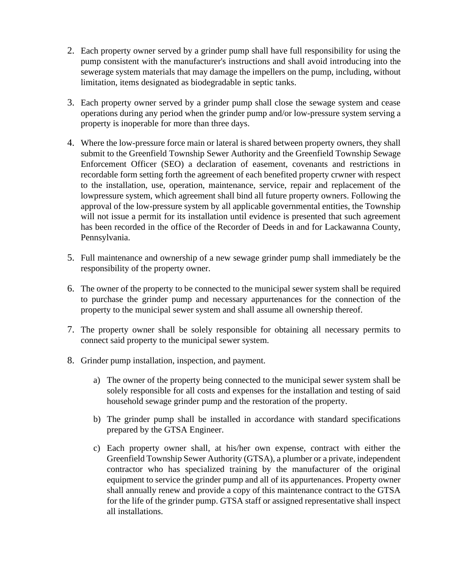- 2. Each property owner served by a grinder pump shall have full responsibility for using the pump consistent with the manufacturer's instructions and shall avoid introducing into the sewerage system materials that may damage the impellers on the pump, including, without limitation, items designated as biodegradable in septic tanks.
- 3. Each property owner served by a grinder pump shall close the sewage system and cease operations during any period when the grinder pump and/or low-pressure system serving a property is inoperable for more than three days.
- 4. Where the low-pressure force main or lateral is shared between property owners, they shall submit to the Greenfield Township Sewer Authority and the Greenfield Township Sewage Enforcement Officer (SEO) a declaration of easement, covenants and restrictions in recordable form setting forth the agreement of each benefited property crwner with respect to the installation, use, operation, maintenance, service, repair and replacement of the lowpressure system, which agreement shall bind all future property owners. Following the approval of the low-pressure system by all applicable governmental entities, the Township will not issue a permit for its installation until evidence is presented that such agreement has been recorded in the office of the Recorder of Deeds in and for Lackawanna County, Pennsylvania.
- 5. Full maintenance and ownership of a new sewage grinder pump shall immediately be the responsibility of the property owner.
- 6. The owner of the property to be connected to the municipal sewer system shall be required to purchase the grinder pump and necessary appurtenances for the connection of the property to the municipal sewer system and shall assume all ownership thereof.
- 7. The property owner shall be solely responsible for obtaining all necessary permits to connect said property to the municipal sewer system.
- 8. Grinder pump installation, inspection, and payment.
	- a) The owner of the property being connected to the municipal sewer system shall be solely responsible for all costs and expenses for the installation and testing of said household sewage grinder pump and the restoration of the property.
	- b) The grinder pump shall be installed in accordance with standard specifications prepared by the GTSA Engineer.
	- c) Each property owner shall, at his/her own expense, contract with either the Greenfield Township Sewer Authority (GTSA), a plumber or a private, independent contractor who has specialized training by the manufacturer of the original equipment to service the grinder pump and all of its appurtenances. Property owner shall annually renew and provide a copy of this maintenance contract to the GTSA for the life of the grinder pump. GTSA staff or assigned representative shall inspect all installations.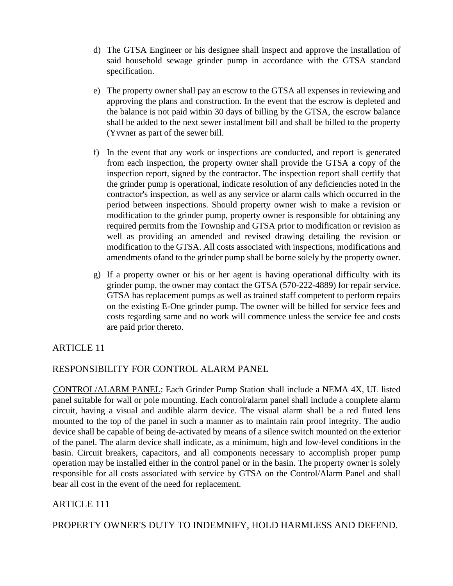- d) The GTSA Engineer or his designee shall inspect and approve the installation of said household sewage grinder pump in accordance with the GTSA standard specification.
- e) The property owner shall pay an escrow to the GTSA all expenses in reviewing and approving the plans and construction. In the event that the escrow is depleted and the balance is not paid within 30 days of billing by the GTSA, the escrow balance shall be added to the next sewer installment bill and shall be billed to the property (Yvvner as part of the sewer bill.
- f) In the event that any work or inspections are conducted, and report is generated from each inspection, the property owner shall provide the GTSA a copy of the inspection report, signed by the contractor. The inspection report shall certify that the grinder pump is operational, indicate resolution of any deficiencies noted in the contractor's inspection, as well as any service or alarm calls which occurred in the period between inspections. Should property owner wish to make a revision or modification to the grinder pump, property owner is responsible for obtaining any required permits from the Township and GTSA prior to modification or revision as well as providing an amended and revised drawing detailing the revision or modification to the GTSA. All costs associated with inspections, modifications and amendments ofand to the grinder pump shall be borne solely by the property owner.
- g) If a property owner or his or her agent is having operational difficulty with its grinder pump, the owner may contact the GTSA (570-222-4889) for repair service. GTSA has replacement pumps as well as trained staff competent to perform repairs on the existing E-One grinder pump. The owner will be billed for service fees and costs regarding same and no work will commence unless the service fee and costs are paid prior thereto.

## ARTICLE 11

## RESPONSIBILITY FOR CONTROL ALARM PANEL

CONTROL/ALARM PANEL: Each Grinder Pump Station shall include a NEMA 4X, UL listed panel suitable for wall or pole mounting. Each control/alarm panel shall include a complete alarm circuit, having a visual and audible alarm device. The visual alarm shall be a red fluted lens mounted to the top of the panel in such a manner as to maintain rain proof integrity. The audio device shall be capable of being de-activated by means of a silence switch mounted on the exterior of the panel. The alarm device shall indicate, as a minimum, high and low-level conditions in the basin. Circuit breakers, capacitors, and all components necessary to accomplish proper pump operation may be installed either in the control panel or in the basin. The property owner is solely responsible for all costs associated with service by GTSA on the Control/Alarm Panel and shall bear all cost in the event of the need for replacement.

# ARTICLE 111

PROPERTY OWNER'S DUTY TO INDEMNIFY, HOLD HARMLESS AND DEFEND.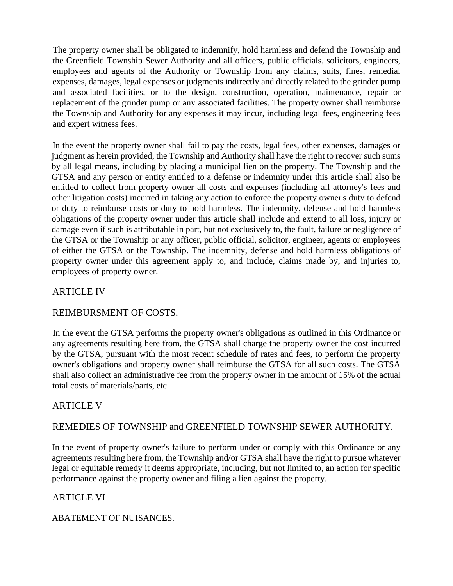The property owner shall be obligated to indemnify, hold harmless and defend the Township and the Greenfield Township Sewer Authority and all officers, public officials, solicitors, engineers, employees and agents of the Authority or Township from any claims, suits, fines, remedial expenses, damages, legal expenses or judgments indirectly and directly related to the grinder pump and associated facilities, or to the design, construction, operation, maintenance, repair or replacement of the grinder pump or any associated facilities. The property owner shall reimburse the Township and Authority for any expenses it may incur, including legal fees, engineering fees and expert witness fees.

In the event the property owner shall fail to pay the costs, legal fees, other expenses, damages or judgment as herein provided, the Township and Authority shall have the right to recover such sums by all legal means, including by placing a municipal lien on the property. The Township and the GTSA and any person or entity entitled to a defense or indemnity under this article shall also be entitled to collect from property owner all costs and expenses (including all attorney's fees and other litigation costs) incurred in taking any action to enforce the property owner's duty to defend or duty to reimburse costs or duty to hold harmless. The indemnity, defense and hold harmless obligations of the property owner under this article shall include and extend to all loss, injury or damage even if such is attributable in part, but not exclusively to, the fault, failure or negligence of the GTSA or the Township or any officer, public official, solicitor, engineer, agents or employees of either the GTSA or the Township. The indemnity, defense and hold harmless obligations of property owner under this agreement apply to, and include, claims made by, and injuries to, employees of property owner.

### ARTICLE IV

#### REIMBURSMENT OF COSTS.

In the event the GTSA performs the property owner's obligations as outlined in this Ordinance or any agreements resulting here from, the GTSA shall charge the property owner the cost incurred by the GTSA, pursuant with the most recent schedule of rates and fees, to perform the property owner's obligations and property owner shall reimburse the GTSA for all such costs. The GTSA shall also collect an administrative fee from the property owner in the amount of 15% of the actual total costs of materials/parts, etc.

## ARTICLE V

## REMEDIES OF TOWNSHIP and GREENFIELD TOWNSHIP SEWER AUTHORITY.

In the event of property owner's failure to perform under or comply with this Ordinance or any agreements resulting here from, the Township and/or GTSA shall have the right to pursue whatever legal or equitable remedy it deems appropriate, including, but not limited to, an action for specific performance against the property owner and filing a lien against the property.

## ARTICLE VI

ABATEMENT OF NUISANCES.